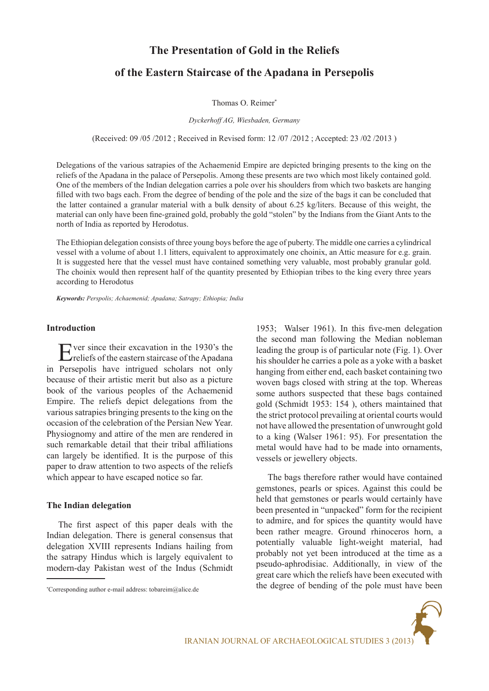# **The Presentation of Gold in the Reliefs**

# **of the Eastern Staircase of the Apadana in Persepolis**

Thomas O. Reimer\*

*Dyckerhoff AG, Wiesbaden, Germany*

(Received: 09 /05 /2012 ; Received in Revised form: 12 /07 /2012 ; Accepted: 23 /02 /2013 )

Delegations of the various satrapies of the Achaemenid Empire are depicted bringing presents to the king on the reliefs of the Apadana in the palace of Persepolis. Among these presents are two which most likely contained gold. One of the members of the Indian delegation carries a pole over his shoulders from which two baskets are hanging filled with two bags each. From the degree of bending of the pole and the size of the bags it can be concluded that the latter contained a granular material with a bulk density of about 6.25 kg/liters. Because of this weight, the material can only have been fine-grained gold, probably the gold "stolen" by the Indians from the Giant Ants to the north of India as reported by Herodotus.

The Ethiopian delegation consists of three young boys before the age of puberty. The middle one carries a cylindrical vessel with a volume of about 1.1 litters, equivalent to approximately one choinix, an Attic measure for e.g. grain. It is suggested here that the vessel must have contained something very valuable, most probably granular gold. The choinix would then represent half of the quantity presented by Ethiopian tribes to the king every three years according to Herodotus

*Keywords: Perspolis; Achaemenid; Apadana; Satrapy; Ethiopia; India*

## **Introduction**

Ever since their excavation in the 1930's the reliefs of the eastern staircase of the Apadana in Persepolis have intrigued scholars not only because of their artistic merit but also as a picture book of the various peoples of the Achaemenid Empire. The reliefs depict delegations from the various satrapies bringing presents to the king on the occasion of the celebration of the Persian New Year. Physiognomy and attire of the men are rendered in such remarkable detail that their tribal affiliations can largely be identified. It is the purpose of this paper to draw attention to two aspects of the reliefs which appear to have escaped notice so far.

### **The Indian delegation**

The first aspect of this paper deals with the Indian delegation. There is general consensus that delegation XVIII represents Indians hailing from the satrapy Hindus which is largely equivalent to modern-day Pakistan west of the Indus (Schmidt 1953; Walser 1961). In this five-men delegation the second man following the Median nobleman leading the group is of particular note (Fig. 1). Over his shoulder he carries a pole as a yoke with a basket hanging from either end, each basket containing two woven bags closed with string at the top. Whereas some authors suspected that these bags contained gold (Schmidt 1953: 154 ), others maintained that the strict protocol prevailing at oriental courts would not have allowed the presentation of unwrought gold to a king (Walser 1961: 95). For presentation the metal would have had to be made into ornaments, vessels or jewellery objects.

The bags therefore rather would have contained gemstones, pearls or spices. Against this could be held that gemstones or pearls would certainly have been presented in "unpacked" form for the recipient to admire, and for spices the quantity would have been rather meagre. Ground rhinoceros horn, a potentially valuable light-weight material, had probably not yet been introduced at the time as a pseudo-aphrodisiac. Additionally, in view of the great care which the reliefs have been executed with the degree of bending of the pole must have been

<sup>\*</sup> Corresponding author e-mail address: tobareim@alice.de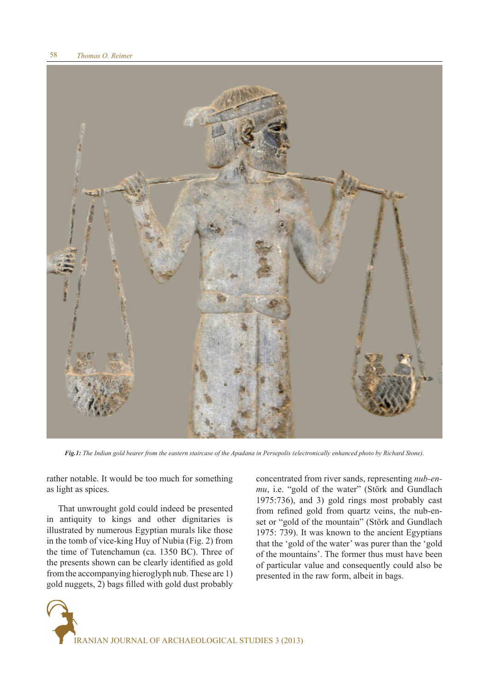

*Fig.1: The Indian gold bearer from the eastern staircase of the Apadana in Persepolis (electronically enhanced photo by Richard Stone).*

rather notable. It would be too much for something as light as spices.

That unwrought gold could indeed be presented in antiquity to kings and other dignitaries is illustrated by numerous Egyptian murals like those in the tomb of vice-king Huy of Nubia (Fig. 2) from the time of Tutenchamun (ca. 1350 BC). Three of the presents shown can be clearly identified as gold from the accompanying hieroglyph nub. These are 1) gold nuggets, 2) bags filled with gold dust probably concentrated from river sands, representing *nub-enmu*, i.e. "gold of the water" (Störk and Gundlach 1975:736), and 3) gold rings most probably cast from refined gold from quartz veins, the nub-enset or "gold of the mountain" (Störk and Gundlach 1975: 739). It was known to the ancient Egyptians that the 'gold of the water' was purer than the 'gold of the mountains'. The former thus must have been of particular value and consequently could also be presented in the raw form, albeit in bags.

IRANIAN JOURNAL OF ARCHAEOLOGICAL STUDIES 3 (2013)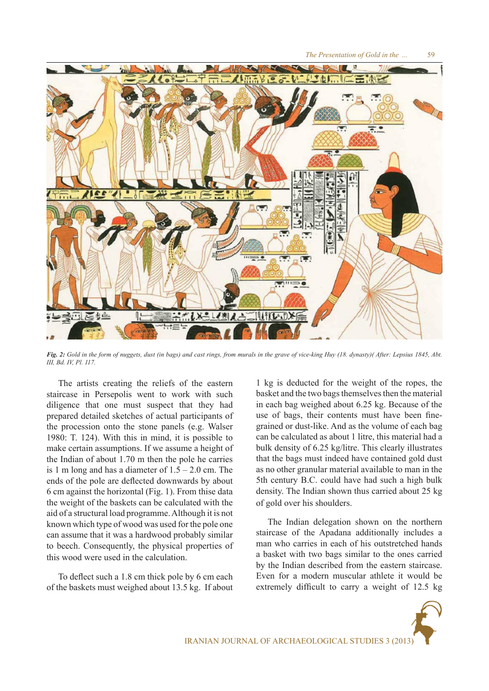

*Fig. 2: Gold in the form of nuggets, dust (in bags) and cast rings, from murals in the grave of vice-king Huy (18. dynasty)( After: Lepsius 1845, Abt. III, Bd. IV, Pl. 117.*

The artists creating the reliefs of the eastern staircase in Persepolis went to work with such diligence that one must suspect that they had prepared detailed sketches of actual participants of the procession onto the stone panels (e.g. Walser 1980: T. 124). With this in mind, it is possible to make certain assumptions. If we assume a height of the Indian of about 1.70 m then the pole he carries is 1 m long and has a diameter of  $1.5 - 2.0$  cm. The ends of the pole are deflected downwards by about 6 cm against the horizontal (Fig. 1). From thise data the weight of the baskets can be calculated with the aid of a structural load programme. Although it is not known which type of wood was used for the pole one can assume that it was a hardwood probably similar to beech. Consequently, the physical properties of this wood were used in the calculation.

To deflect such a 1.8 cm thick pole by 6 cm each of the baskets must weighed about 13.5 kg. If about 1 kg is deducted for the weight of the ropes, the basket and the two bags themselves then the material in each bag weighed about 6.25 kg. Because of the use of bags, their contents must have been finegrained or dust-like. And as the volume of each bag can be calculated as about 1 litre, this material had a bulk density of 6.25 kg/litre. This clearly illustrates that the bags must indeed have contained gold dust as no other granular material available to man in the 5th century B.C. could have had such a high bulk density. The Indian shown thus carried about 25 kg of gold over his shoulders.

The Indian delegation shown on the northern staircase of the Apadana additionally includes a man who carries in each of his outstretched hands a basket with two bags similar to the ones carried by the Indian described from the eastern staircase. Even for a modern muscular athlete it would be extremely difficult to carry a weight of 12.5 kg

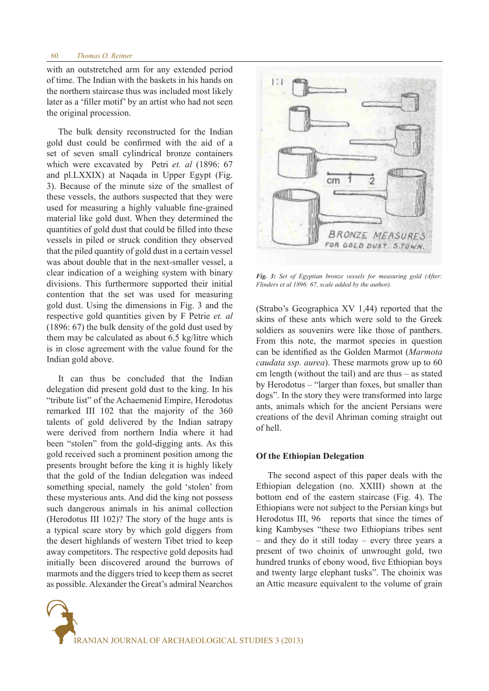with an outstretched arm for any extended period of time. The Indian with the baskets in his hands on the northern staircase thus was included most likely later as a 'filler motif' by an artist who had not seen the original procession.

The bulk density reconstructed for the Indian gold dust could be confirmed with the aid of a set of seven small cylindrical bronze containers which were excavated by Petri *et. al* (1896: 67 and pl.LXXIX) at Naqada in Upper Egypt (Fig. 3). Because of the minute size of the smallest of these vessels, the authors suspected that they were used for measuring a highly valuable fine-grained material like gold dust. When they determined the quantities of gold dust that could be filled into these vessels in piled or struck condition they observed that the piled quantity of gold dust in a certain vessel was about double that in the next-smaller vessel, a clear indication of a weighing system with binary divisions. This furthermore supported their initial contention that the set was used for measuring gold dust. Using the dimensions in Fig. 3 and the respective gold quantities given by F Petrie *et. al* (1896: 67) the bulk density of the gold dust used by them may be calculated as about 6.5 kg/litre which is in close agreement with the value found for the Indian gold above.

It can thus be concluded that the Indian delegation did present gold dust to the king. In his "tribute list" of the Achaemenid Empire, Herodotus remarked III 102 that the majority of the 360 talents of gold delivered by the Indian satrapy were derived from northern India where it had been "stolen" from the gold-digging ants. As this gold received such a prominent position among the presents brought before the king it is highly likely that the gold of the Indian delegation was indeed something special, namely the gold 'stolen' from these mysterious ants. And did the king not possess such dangerous animals in his animal collection (Herodotus III 102)? The story of the huge ants is a typical scare story by which gold diggers from the desert highlands of western Tibet tried to keep away competitors. The respective gold deposits had initially been discovered around the burrows of marmots and the diggers tried to keep them as secret as possible. Alexander the Great's admiral Nearchos



*Fig. 3: Set of Egyptian bronze vessels for measuring gold (After: Flinders et al 1896: 67, scale added by the author).*

(Strabo's Geographica XV 1,44) reported that the skins of these ants which were sold to the Greek soldiers as souvenirs were like those of panthers. From this note, the marmot species in question can be identified as the Golden Marmot (*Marmota caudata ssp. aurea*). These marmots grow up to 60 cm length (without the tail) and are thus – as stated by Herodotus – "larger than foxes, but smaller than dogs". In the story they were transformed into large ants, animals which for the ancient Persians were creations of the devil Ahriman coming straight out of hell.

### **Of the Ethiopian Delegation**

The second aspect of this paper deals with the Ethiopian delegation (no. XXIII) shown at the bottom end of the eastern staircase (Fig. 4). The Ethiopians were not subject to the Persian kings but Herodotus III, 96 reports that since the times of king Kambyses "these two Ethiopians tribes sent – and they do it still today – every three years a present of two choinix of unwrought gold, two hundred trunks of ebony wood, five Ethiopian boys and twenty large elephant tusks". The choinix was an Attic measure equivalent to the volume of grain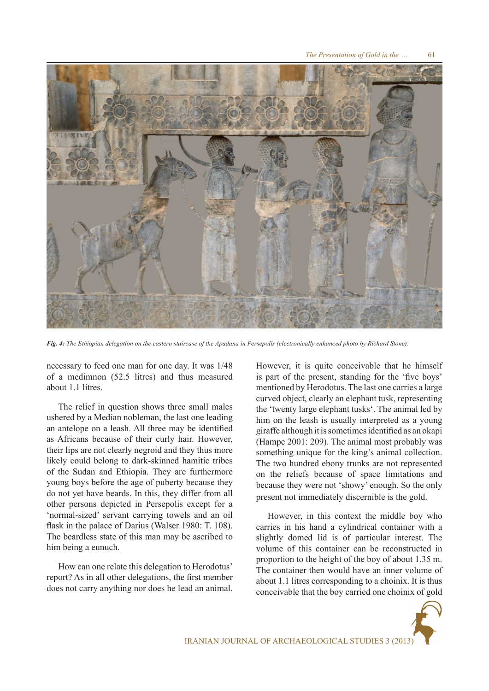

*Fig. 4: The Ethiopian delegation on the eastern staircase of the Apadana in Persepolis (electronically enhanced photo by Richard Stone).*

necessary to feed one man for one day. It was 1/48 of a medimnon (52.5 litres) and thus measured about 1.1 litres.

The relief in question shows three small males ushered by a Median nobleman, the last one leading an antelope on a leash. All three may be identified as Africans because of their curly hair. However, their lips are not clearly negroid and they thus more likely could belong to dark-skinned hamitic tribes of the Sudan and Ethiopia. They are furthermore young boys before the age of puberty because they do not yet have beards. In this, they differ from all other persons depicted in Persepolis except for a 'normal-sized' servant carrying towels and an oil flask in the palace of Darius (Walser 1980: T. 108). The beardless state of this man may be ascribed to him being a eunuch.

How can one relate this delegation to Herodotus' report? As in all other delegations, the first member does not carry anything nor does he lead an animal. However, it is quite conceivable that he himself is part of the present, standing for the 'five boys' mentioned by Herodotus. The last one carries a large curved object, clearly an elephant tusk, representing the 'twenty large elephant tusks'. The animal led by him on the leash is usually interpreted as a young giraffe although it is sometimes identified as an okapi (Hampe 2001: 209). The animal most probably was something unique for the king's animal collection. The two hundred ebony trunks are not represented on the reliefs because of space limitations and because they were not 'showy' enough. So the only present not immediately discernible is the gold.

However, in this context the middle boy who carries in his hand a cylindrical container with a slightly domed lid is of particular interest. The volume of this container can be reconstructed in proportion to the height of the boy of about 1.35 m. The container then would have an inner volume of about 1.1 litres corresponding to a choinix. It is thus conceivable that the boy carried one choinix of gold

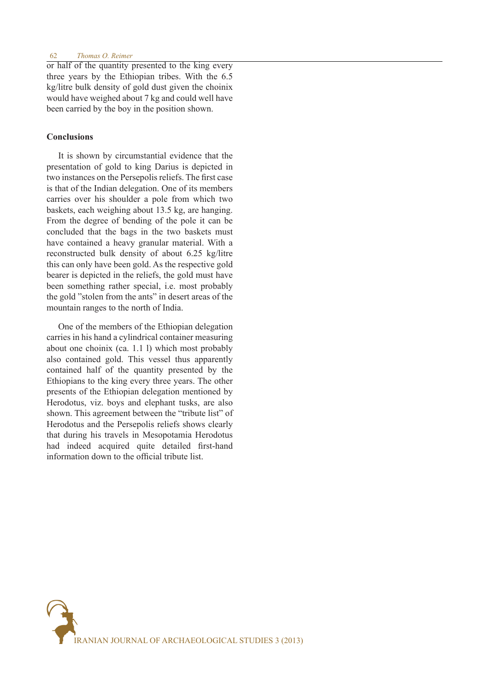### 62 *Thomas O. Reimer*

or half of the quantity presented to the king every three years by the Ethiopian tribes. With the 6.5 kg/litre bulk density of gold dust given the choinix would have weighed about 7 kg and could well have been carried by the boy in the position shown.

## **Conclusions**

It is shown by circumstantial evidence that the presentation of gold to king Darius is depicted in two instances on the Persepolis reliefs. The first case is that of the Indian delegation. One of its members carries over his shoulder a pole from which two baskets, each weighing about 13.5 kg, are hanging. From the degree of bending of the pole it can be concluded that the bags in the two baskets must have contained a heavy granular material. With a reconstructed bulk density of about 6.25 kg/litre this can only have been gold. As the respective gold bearer is depicted in the reliefs, the gold must have been something rather special, i.e. most probably the gold "stolen from the ants" in desert areas of the mountain ranges to the north of India.

One of the members of the Ethiopian delegation carries in his hand a cylindrical container measuring about one choinix (ca. 1.1 l) which most probably also contained gold. This vessel thus apparently contained half of the quantity presented by the Ethiopians to the king every three years. The other presents of the Ethiopian delegation mentioned by Herodotus, viz. boys and elephant tusks, are also shown. This agreement between the "tribute list" of Herodotus and the Persepolis reliefs shows clearly that during his travels in Mesopotamia Herodotus had indeed acquired quite detailed first-hand information down to the official tribute list.